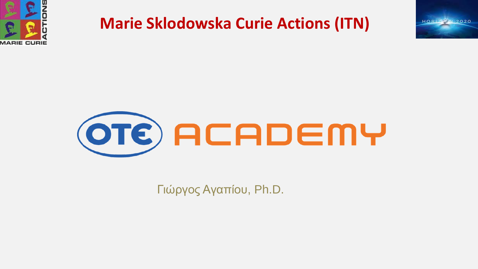





Γιώργος Αγαπίου, Ph.D.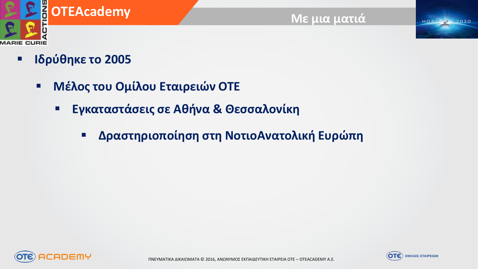

#### **Με μια ματιά**

**HORIZERN 2020** 

### **Ιδρύθηκε το 2005**

- **Μέλος του Ομίλου Εταιρειών ΟΤΕ**
	- **Εγκαταστάσεις σε Αθήνα & Θεσσαλονίκη**
		- **Δραστηριοποίηση στη ΝοτιοΑνατολική Ευρώπη**



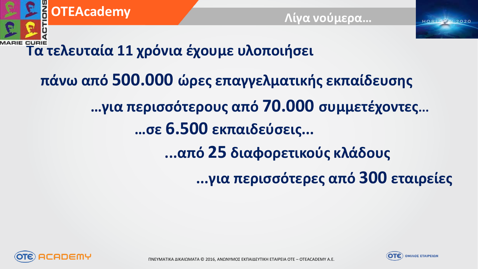

**...για περισσότερες από 300 εταιρείες**

**...από 25 διαφορετικούς κλάδους**



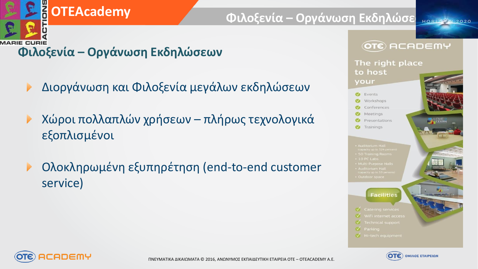

### **DEACademy**

#### **Φιλοξενία – Οργάνωση Εκδηλώσε Η Βεραμένη 2020**

### **Φιλοξενία – Οργάνωση Εκδηλώσεων**

- Διοργάνωση και Φιλοξενία μεγάλων εκδηλώσεων ▶
- Χώροι πολλαπλών χρήσεων πλήρως τεχνολογικά εξοπλισμένοι
- Ολοκληρωμένη εξυπηρέτηση (end-to-end customer service)





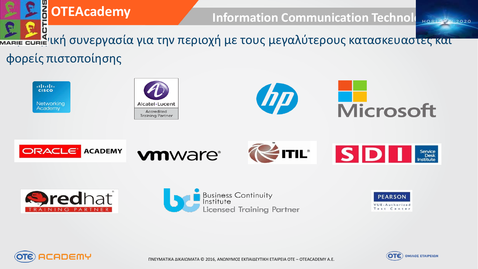

atrativ **CISCO** Networking Academy

















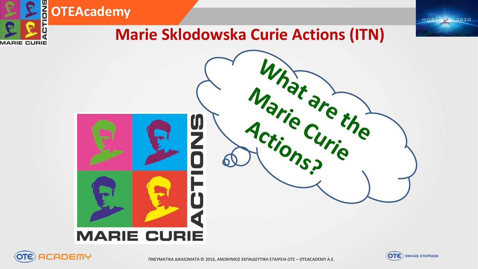



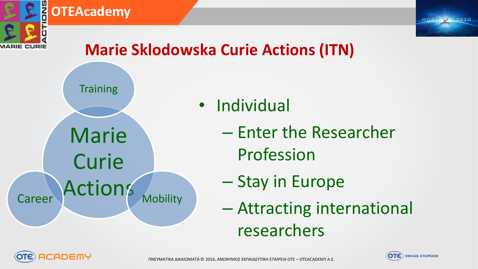

#### **OTEAcademy**



# **Marie Sklodowska Curie Actions (ITN)**



- Individual
	- Enter the Researcher Profession
	- Stay in Europe
	- Attracting international researchers



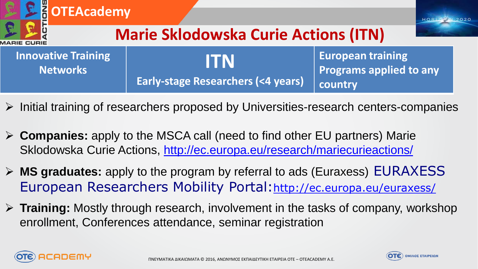| <b>BOTEAcademy</b><br><b>Marie Sklodowska Curie Actions (ITN)</b><br><b><i>IARIE CURIE</i></b> |  |                                                      |                                                                       |  |  |  |
|------------------------------------------------------------------------------------------------|--|------------------------------------------------------|-----------------------------------------------------------------------|--|--|--|
| <b>Innovative Training</b><br><b>Networks</b>                                                  |  | IITN<br><b>Early-stage Researchers (&lt;4 years)</b> | <b>European training</b><br><b>Programs applied to any</b><br>country |  |  |  |

- $\triangleright$  Initial training of researchers proposed by Universities-research centers-companies
- **Companies:** apply to the MSCA call (need to find other EU partners) Marie Sklodowska Curie Actions, <http://ec.europa.eu/research/mariecurieactions/>
- **MS graduates:** apply to the program by referral to ads (Euraxess) EURAXESS European Researchers Mobility Portal:<http://ec.europa.eu/euraxess/>
- **Training:** Mostly through research, involvement in the tasks of company, workshop enrollment, Conferences attendance, seminar registration



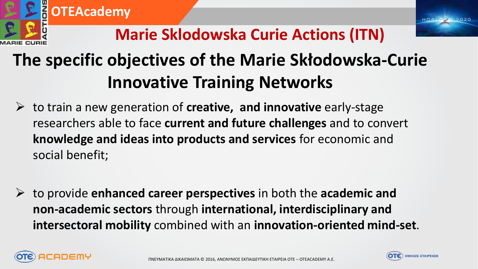

# **The specific objectives of the Marie Skłodowska-Curie Innovative Training Networks**

- to train a new generation of **creative, and innovative** early-stage researchers able to face **current and future challenges** and to convert **knowledge and ideas into products and services** for economic and social benefit;
- to provide **enhanced career perspectives** in both the **academic and non-academic sectors** through **international, interdisciplinary and intersectoral mobility** combined with an **innovation-oriented mind-set**.



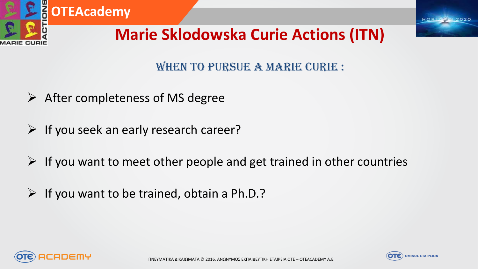

#### WHEN TO PURSUE A MARIE CURIE :

- $\triangleright$  After completeness of MS degree
- $\triangleright$  If you seek an early research career?
- $\triangleright$  If you want to meet other people and get trained in other countries
- $\triangleright$  If you want to be trained, obtain a Ph.D.?



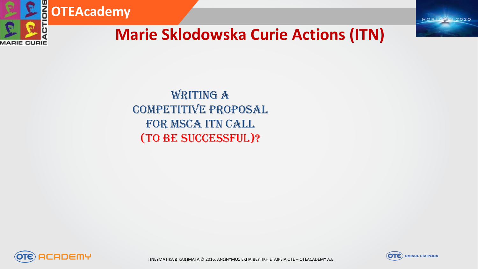

**HORIZICIN 2020** 

### **Marie Sklodowska Curie Actions (ITN)**

WRITING A Competitive Proposal FOR MSCA ITN CALL (to be successful)?



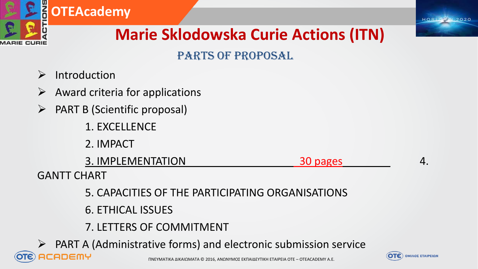

#### PARTS OF PROPOSAL

- $\triangleright$  Introduction
- $\triangleright$  Award criteria for applications
- $\triangleright$  PART B (Scientific proposal)
	- 1. EXCELLENCE
	- 2. IMPACT

3. IMPLEMENTATION 4.

GANTT CHART

- 5. CAPACITIES OF THE PARTICIPATING ORGANISATIONS
- 6. ETHICAL ISSUES
- 7. LETTERS OF COMMITMENT
- $\triangleright$  PART A (Administrative forms) and electronic submission service :ADEMY

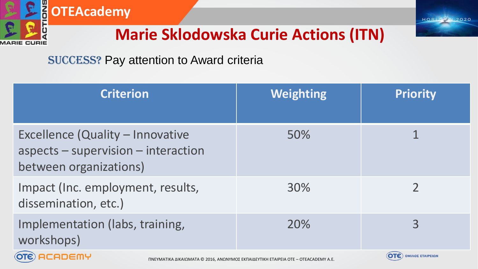

# **B**OTEAcademy

## **Marie Sklodowska Curie Actions (ITN)**

#### Success? Pay attention to Award criteria

| <b>Criterion</b>                                                                                  | <b>Weighting</b> | <b>Priority</b>                   |
|---------------------------------------------------------------------------------------------------|------------------|-----------------------------------|
| Excellence (Quality – Innovative<br>aspects - supervision - interaction<br>between organizations) | 50%              |                                   |
| Impact (Inc. employment, results,<br>dissemination, etc.)                                         | 30%              |                                   |
| Implementation (labs, training,<br>workshops)                                                     | 20%              | 3                                 |
| <b>OTE</b> OFODEMU                                                                                |                  | $\overline{OTE}$ OMIADE ETAIPEION |

ΠΝΕΥΜΑΤΙΚΑ ΔΙΚΑΙΩΜΑΤΑ © 2016, ΑΝΩΝΥΜΟΣ ΕΚΠΑΙΔΕΥΤΙΚΗ ΕΤΑΙΡΕΙΑ ΟΤΕ – OTEACADEMY A.E.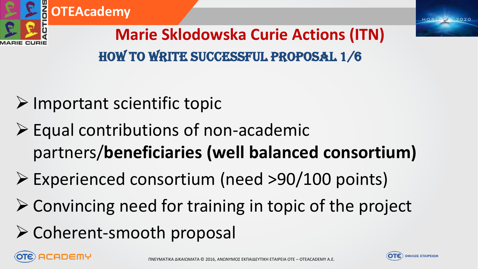





**Marie Sklodowska Curie Actions (ITN)** How to write successful proposal 1/6

- $\triangleright$  Important scientific topic
- $\triangleright$  Equal contributions of non-academic partners/**beneficiaries (well balanced consortium)**
- Experienced consortium (need >90/100 points)
- $\triangleright$  Convincing need for training in topic of the project
- $\triangleright$  Coherent-smooth proposal



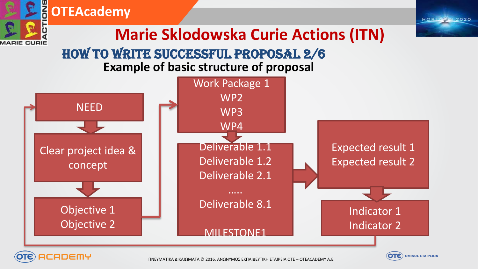

ΠΝΕΥΜΑΤΙΚΑ ΔΙΚΑΙΩΜΑΤΑ © 2016, ΑΝΩΝΥΜΟΣ ΕΚΠΑΙΔΕΥΤΙΚΗ ΕΤΑΙΡΕΙΑ ΟΤΕ – OTEACADEMY A.E.

CADEMY

**OTE** OMIADE ETAIPEION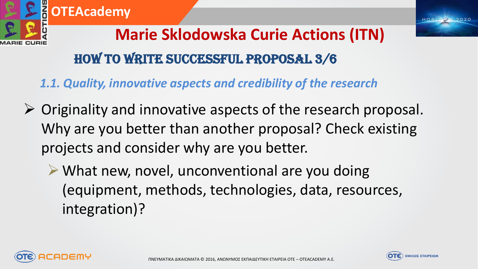

# **Marie Sklodowska Curie Actions (ITN)** How to write successful proposal 3/6

*1.1. Quality, innovative aspects and credibility of the research*

- $\triangleright$  Originality and innovative aspects of the research proposal. Why are you better than another proposal? Check existing projects and consider why are you better.
	- $\triangleright$  What new, novel, unconventional are you doing (equipment, methods, technologies, data, resources, integration)?



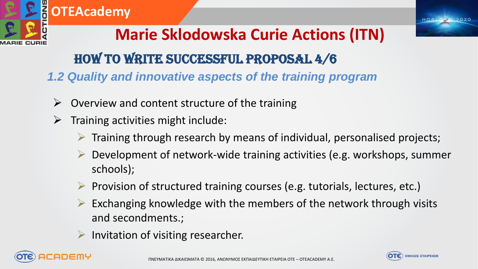

*IARIE CURIE* 

# **Marie Sklodowska Curie Actions (ITN)**

### How to write successful proposal 4/6

*1.2 Quality and innovative aspects of the training program*

- $\triangleright$  Overview and content structure of the training
- $\triangleright$  Training activities might include:
	- Training through research by means of individual, personalised projects;
	- Development of network-wide training activities (e.g. workshops, summer schools);
	- $\triangleright$  Provision of structured training courses (e.g. tutorials, lectures, etc.)
	- $\triangleright$  Exchanging knowledge with the members of the network through visits and secondments.;
	- Invitation of visiting researcher.



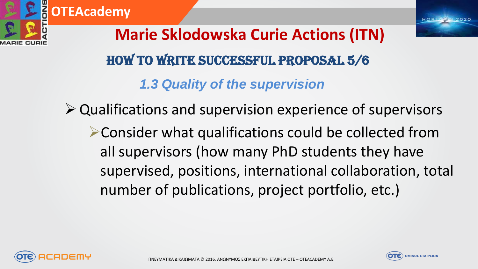

**OTEAcademy**



# **Marie Sklodowska Curie Actions (ITN)** *1.3 Quality of the supervision* How to write successful proposal 5/6

Qualifications and supervision experience of supervisors

Consider what qualifications could be collected from all supervisors (how many PhD students they have supervised, positions, international collaboration, total number of publications, project portfolio, etc.)



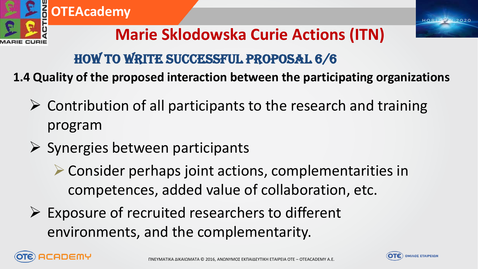

### How to write successful proposal 6/6

**1.4 Quality of the proposed interaction between the participating organizations**

- $\triangleright$  Contribution of all participants to the research and training program
- $\triangleright$  Synergies between participants
	- Consider perhaps joint actions, complementarities in competences, added value of collaboration, etc.
- $\triangleright$  Exposure of recruited researchers to different environments, and the complementarity.



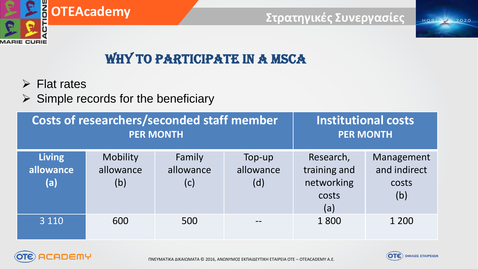

# **<u></u>OTEAcademy**

#### **Στρατηγικές Συνεργασίες**

**HORIZEN 2020** 

### WHY TO PARTICIPATE IN A MSCA

- $\triangleright$  Flat rates
- $\triangleright$  Simple records for the beneficiary

|                                   | Costs of researchers/seconded staff member<br><b>PER MONTH</b> | <b>Institutional costs</b><br><b>PER MONTH</b> |                            |                                                         |                                            |
|-----------------------------------|----------------------------------------------------------------|------------------------------------------------|----------------------------|---------------------------------------------------------|--------------------------------------------|
| <b>Living</b><br>allowance<br>(a) | Mobility<br>allowance<br>(b)                                   | Family<br>allowance<br>(c)                     | Top-up<br>allowance<br>(d) | Research,<br>training and<br>networking<br>costs<br>(a) | Management<br>and indirect<br>costs<br>(b) |
| 3 1 1 0                           | 600                                                            | 500                                            |                            | 1800                                                    | 1 200                                      |